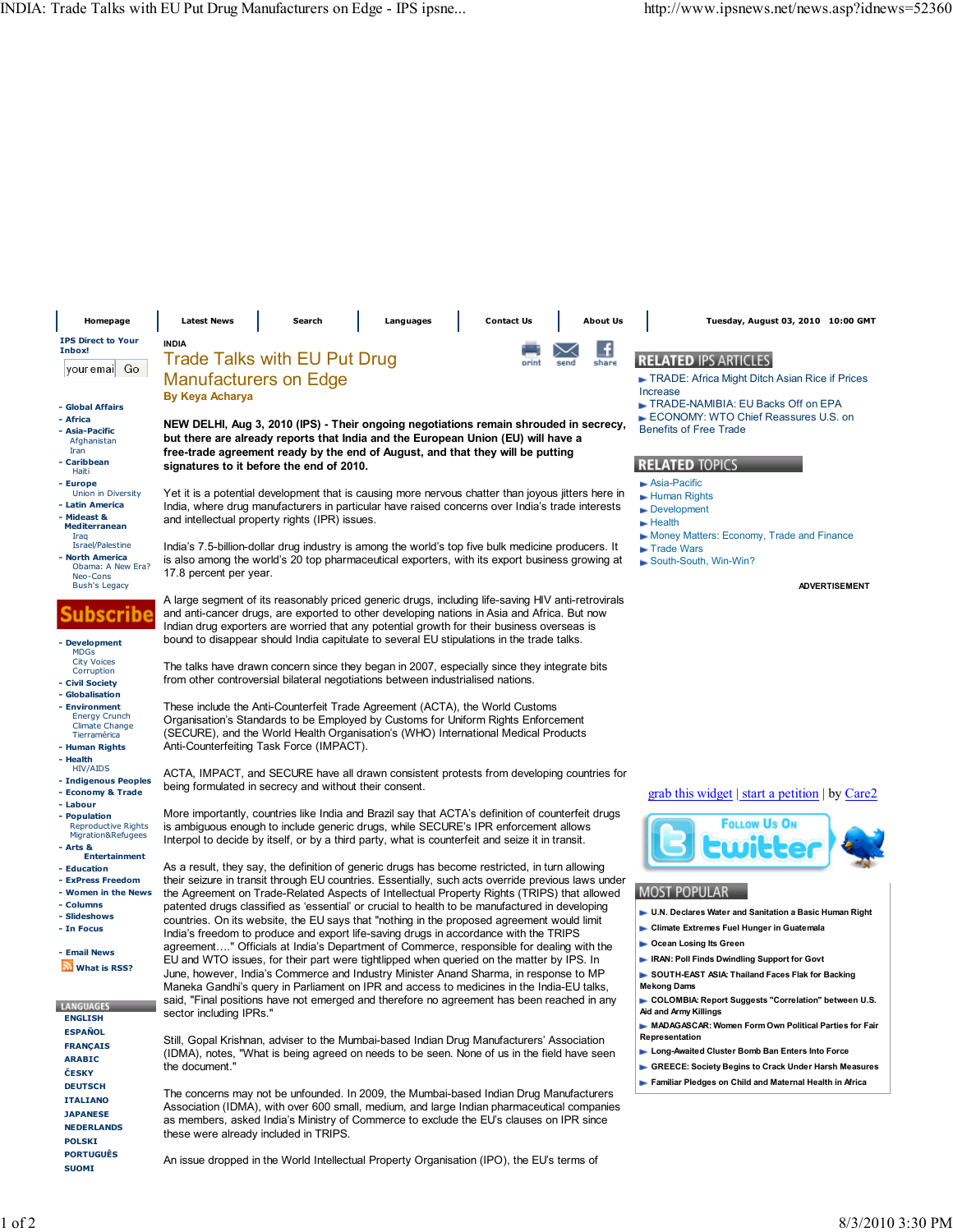